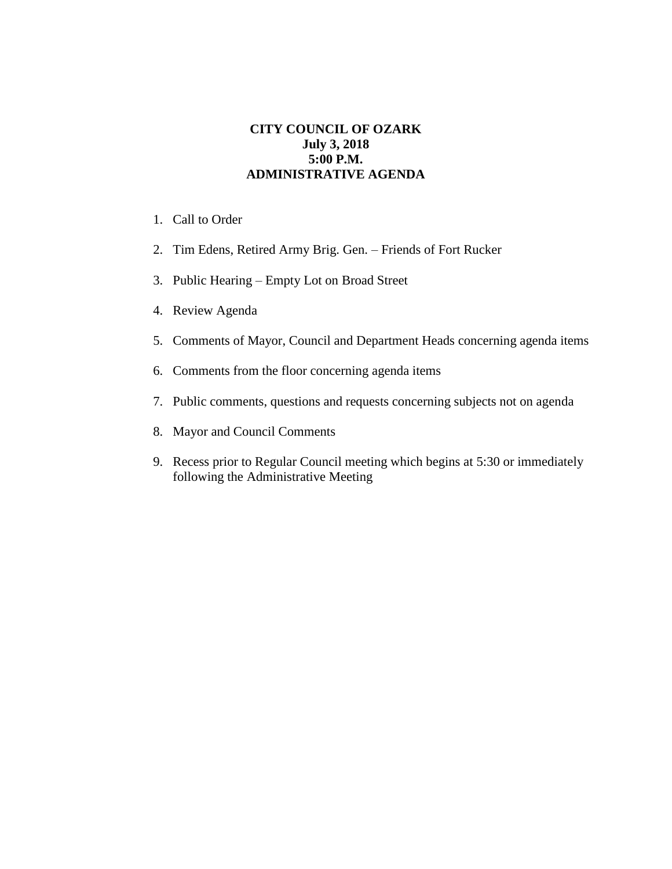## **CITY COUNCIL OF OZARK July 3, 2018 5:00 P.M. ADMINISTRATIVE AGENDA**

- 1. Call to Order
- 2. Tim Edens, Retired Army Brig. Gen. Friends of Fort Rucker
- 3. Public Hearing Empty Lot on Broad Street
- 4. Review Agenda
- 5. Comments of Mayor, Council and Department Heads concerning agenda items
- 6. Comments from the floor concerning agenda items
- 7. Public comments, questions and requests concerning subjects not on agenda
- 8. Mayor and Council Comments
- 9. Recess prior to Regular Council meeting which begins at 5:30 or immediately following the Administrative Meeting